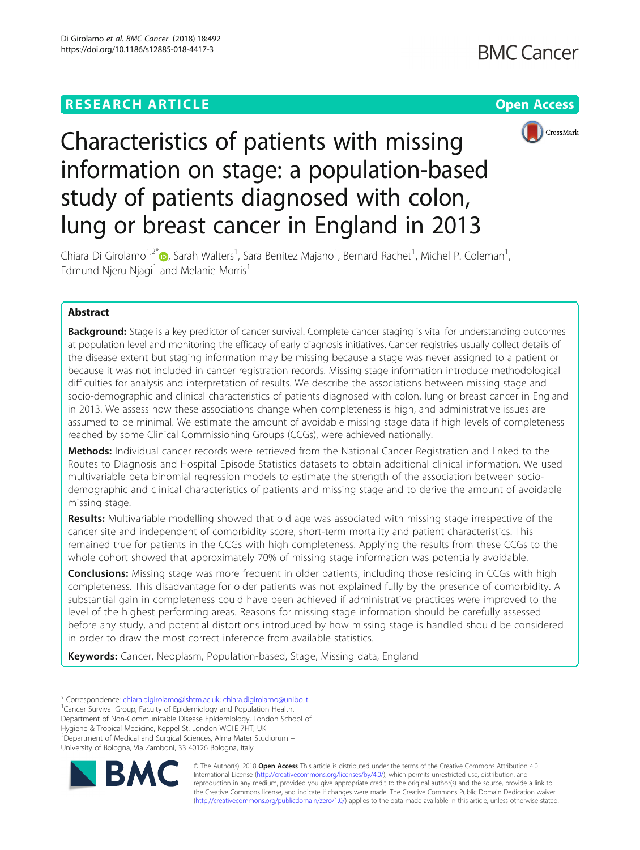



# Characteristics of patients with missing information on stage: a population-based study of patients diagnosed with colon, lung or breast cancer in England in 2013

Chiara Di Girolamo<sup>1[,](http://orcid.org/0000-0002-6031-1009)2\*</sup>®, Sarah Walters<sup>1</sup>, Sara Benitez Majano<sup>1</sup>, Bernard Rachet<sup>1</sup>, Michel P. Coleman<sup>1</sup> , Edmund Nieru Niagi<sup>1</sup> and Melanie Morris<sup>1</sup>

## Abstract

**Background:** Stage is a key predictor of cancer survival. Complete cancer staging is vital for understanding outcomes at population level and monitoring the efficacy of early diagnosis initiatives. Cancer registries usually collect details of the disease extent but staging information may be missing because a stage was never assigned to a patient or because it was not included in cancer registration records. Missing stage information introduce methodological difficulties for analysis and interpretation of results. We describe the associations between missing stage and socio-demographic and clinical characteristics of patients diagnosed with colon, lung or breast cancer in England in 2013. We assess how these associations change when completeness is high, and administrative issues are assumed to be minimal. We estimate the amount of avoidable missing stage data if high levels of completeness reached by some Clinical Commissioning Groups (CCGs), were achieved nationally.

Methods: Individual cancer records were retrieved from the National Cancer Registration and linked to the Routes to Diagnosis and Hospital Episode Statistics datasets to obtain additional clinical information. We used multivariable beta binomial regression models to estimate the strength of the association between sociodemographic and clinical characteristics of patients and missing stage and to derive the amount of avoidable missing stage.

Results: Multivariable modelling showed that old age was associated with missing stage irrespective of the cancer site and independent of comorbidity score, short-term mortality and patient characteristics. This remained true for patients in the CCGs with high completeness. Applying the results from these CCGs to the whole cohort showed that approximately 70% of missing stage information was potentially avoidable.

**Conclusions:** Missing stage was more frequent in older patients, including those residing in CCGs with high completeness. This disadvantage for older patients was not explained fully by the presence of comorbidity. A substantial gain in completeness could have been achieved if administrative practices were improved to the level of the highest performing areas. Reasons for missing stage information should be carefully assessed before any study, and potential distortions introduced by how missing stage is handled should be considered in order to draw the most correct inference from available statistics.

Keywords: Cancer, Neoplasm, Population-based, Stage, Missing data, England

<sup>1</sup> Cancer Survival Group, Faculty of Epidemiology and Population Health,

Department of Non-Communicable Disease Epidemiology, London School of Hygiene & Tropical Medicine, Keppel St, London WC1E 7HT, UK

<sup>2</sup>Department of Medical and Surgical Sciences, Alma Mater Studiorum -

University of Bologna, Via Zamboni, 33 40126 Bologna, Italy



© The Author(s). 2018 Open Access This article is distributed under the terms of the Creative Commons Attribution 4.0 International License [\(http://creativecommons.org/licenses/by/4.0/](http://creativecommons.org/licenses/by/4.0/)), which permits unrestricted use, distribution, and reproduction in any medium, provided you give appropriate credit to the original author(s) and the source, provide a link to the Creative Commons license, and indicate if changes were made. The Creative Commons Public Domain Dedication waiver [\(http://creativecommons.org/publicdomain/zero/1.0/](http://creativecommons.org/publicdomain/zero/1.0/)) applies to the data made available in this article, unless otherwise stated.

<sup>\*</sup> Correspondence: [chiara.digirolamo@lshtm.ac.uk](mailto:chiara.digirolamo@lshtm.ac.uk); [chiara.digirolamo@unibo.it](mailto:chiara.digirolamo@unibo.it) <sup>1</sup>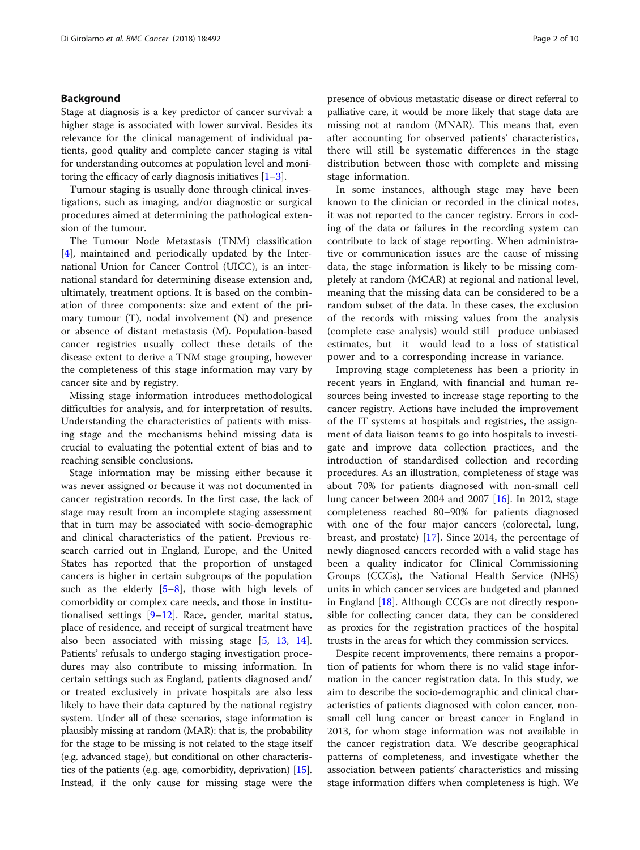## Background

Stage at diagnosis is a key predictor of cancer survival: a higher stage is associated with lower survival. Besides its relevance for the clinical management of individual patients, good quality and complete cancer staging is vital for understanding outcomes at population level and monitoring the efficacy of early diagnosis initiatives  $[1-3]$  $[1-3]$  $[1-3]$ .

Tumour staging is usually done through clinical investigations, such as imaging, and/or diagnostic or surgical procedures aimed at determining the pathological extension of the tumour.

The Tumour Node Metastasis (TNM) classification [[4\]](#page-9-0), maintained and periodically updated by the International Union for Cancer Control (UICC), is an international standard for determining disease extension and, ultimately, treatment options. It is based on the combination of three components: size and extent of the primary tumour (T), nodal involvement (N) and presence or absence of distant metastasis (M). Population-based cancer registries usually collect these details of the disease extent to derive a TNM stage grouping, however the completeness of this stage information may vary by cancer site and by registry.

Missing stage information introduces methodological difficulties for analysis, and for interpretation of results. Understanding the characteristics of patients with missing stage and the mechanisms behind missing data is crucial to evaluating the potential extent of bias and to reaching sensible conclusions.

Stage information may be missing either because it was never assigned or because it was not documented in cancer registration records. In the first case, the lack of stage may result from an incomplete staging assessment that in turn may be associated with socio-demographic and clinical characteristics of the patient. Previous research carried out in England, Europe, and the United States has reported that the proportion of unstaged cancers is higher in certain subgroups of the population such as the elderly [\[5](#page-9-0)–[8](#page-9-0)], those with high levels of comorbidity or complex care needs, and those in institutionalised settings [[9](#page-9-0)–[12](#page-9-0)]. Race, gender, marital status, place of residence, and receipt of surgical treatment have also been associated with missing stage [[5,](#page-9-0) [13,](#page-9-0) [14](#page-9-0)]. Patients' refusals to undergo staging investigation procedures may also contribute to missing information. In certain settings such as England, patients diagnosed and/ or treated exclusively in private hospitals are also less likely to have their data captured by the national registry system. Under all of these scenarios, stage information is plausibly missing at random (MAR): that is, the probability for the stage to be missing is not related to the stage itself (e.g. advanced stage), but conditional on other characteristics of the patients (e.g. age, comorbidity, deprivation) [[15](#page-9-0)]. Instead, if the only cause for missing stage were the

presence of obvious metastatic disease or direct referral to palliative care, it would be more likely that stage data are missing not at random (MNAR). This means that, even after accounting for observed patients' characteristics, there will still be systematic differences in the stage distribution between those with complete and missing stage information.

In some instances, although stage may have been known to the clinician or recorded in the clinical notes, it was not reported to the cancer registry. Errors in coding of the data or failures in the recording system can contribute to lack of stage reporting. When administrative or communication issues are the cause of missing data, the stage information is likely to be missing completely at random (MCAR) at regional and national level, meaning that the missing data can be considered to be a random subset of the data. In these cases, the exclusion of the records with missing values from the analysis (complete case analysis) would still produce unbiased estimates, but it would lead to a loss of statistical power and to a corresponding increase in variance.

Improving stage completeness has been a priority in recent years in England, with financial and human resources being invested to increase stage reporting to the cancer registry. Actions have included the improvement of the IT systems at hospitals and registries, the assignment of data liaison teams to go into hospitals to investigate and improve data collection practices, and the introduction of standardised collection and recording procedures. As an illustration, completeness of stage was about 70% for patients diagnosed with non-small cell lung cancer between 2004 and 2007 [[16\]](#page-9-0). In 2012, stage completeness reached 80–90% for patients diagnosed with one of the four major cancers (colorectal, lung, breast, and prostate) [[17\]](#page-9-0). Since 2014, the percentage of newly diagnosed cancers recorded with a valid stage has been a quality indicator for Clinical Commissioning Groups (CCGs), the National Health Service (NHS) units in which cancer services are budgeted and planned in England [[18\]](#page-9-0). Although CCGs are not directly responsible for collecting cancer data, they can be considered as proxies for the registration practices of the hospital trusts in the areas for which they commission services.

Despite recent improvements, there remains a proportion of patients for whom there is no valid stage information in the cancer registration data. In this study, we aim to describe the socio-demographic and clinical characteristics of patients diagnosed with colon cancer, nonsmall cell lung cancer or breast cancer in England in 2013, for whom stage information was not available in the cancer registration data. We describe geographical patterns of completeness, and investigate whether the association between patients' characteristics and missing stage information differs when completeness is high. We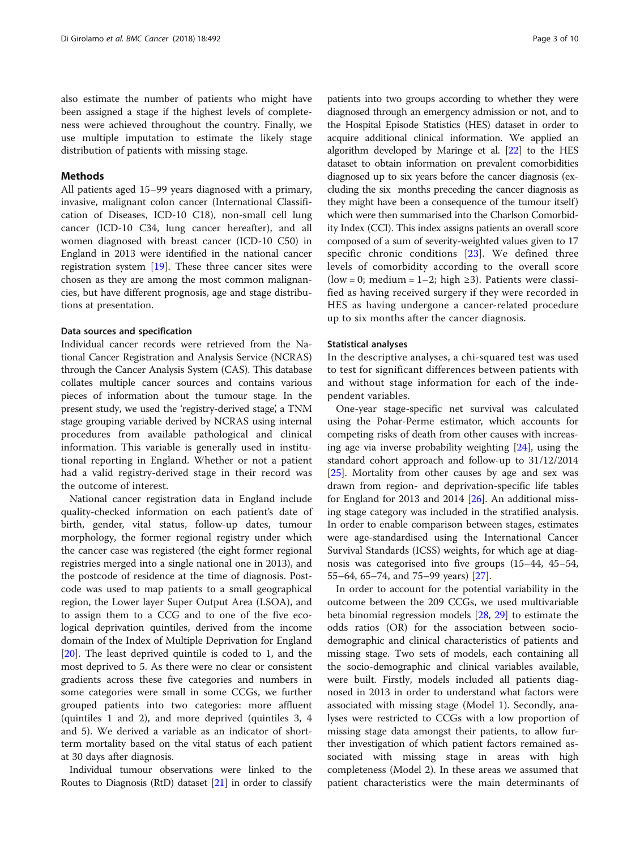also estimate the number of patients who might have been assigned a stage if the highest levels of completeness were achieved throughout the country. Finally, we use multiple imputation to estimate the likely stage distribution of patients with missing stage.

## Methods

All patients aged 15–99 years diagnosed with a primary, invasive, malignant colon cancer (International Classification of Diseases, ICD-10 C18), non-small cell lung cancer (ICD-10 C34, lung cancer hereafter), and all women diagnosed with breast cancer (ICD-10 C50) in England in 2013 were identified in the national cancer registration system [\[19](#page-9-0)]. These three cancer sites were chosen as they are among the most common malignancies, but have different prognosis, age and stage distributions at presentation.

### Data sources and specification

Individual cancer records were retrieved from the National Cancer Registration and Analysis Service (NCRAS) through the Cancer Analysis System (CAS). This database collates multiple cancer sources and contains various pieces of information about the tumour stage. In the present study, we used the 'registry-derived stage', a TNM stage grouping variable derived by NCRAS using internal procedures from available pathological and clinical information. This variable is generally used in institutional reporting in England. Whether or not a patient had a valid registry-derived stage in their record was the outcome of interest.

National cancer registration data in England include quality-checked information on each patient's date of birth, gender, vital status, follow-up dates, tumour morphology, the former regional registry under which the cancer case was registered (the eight former regional registries merged into a single national one in 2013), and the postcode of residence at the time of diagnosis. Postcode was used to map patients to a small geographical region, the Lower layer Super Output Area (LSOA), and to assign them to a CCG and to one of the five ecological deprivation quintiles, derived from the income domain of the Index of Multiple Deprivation for England [[20\]](#page-9-0). The least deprived quintile is coded to 1, and the most deprived to 5. As there were no clear or consistent gradients across these five categories and numbers in some categories were small in some CCGs, we further grouped patients into two categories: more affluent (quintiles 1 and 2), and more deprived (quintiles 3, 4 and 5). We derived a variable as an indicator of shortterm mortality based on the vital status of each patient at 30 days after diagnosis.

Individual tumour observations were linked to the Routes to Diagnosis (RtD) dataset [\[21\]](#page-9-0) in order to classify

patients into two groups according to whether they were diagnosed through an emergency admission or not, and to the Hospital Episode Statistics (HES) dataset in order to acquire additional clinical information. We applied an algorithm developed by Maringe et al. [\[22\]](#page-9-0) to the HES dataset to obtain information on prevalent comorbidities diagnosed up to six years before the cancer diagnosis (excluding the six months preceding the cancer diagnosis as they might have been a consequence of the tumour itself ) which were then summarised into the Charlson Comorbidity Index (CCI). This index assigns patients an overall score composed of a sum of severity-weighted values given to 17 specific chronic conditions [[23\]](#page-9-0). We defined three levels of comorbidity according to the overall score (low = 0; medium = 1–2; high  $\geq$ 3). Patients were classified as having received surgery if they were recorded in HES as having undergone a cancer-related procedure up to six months after the cancer diagnosis.

### Statistical analyses

In the descriptive analyses, a chi-squared test was used to test for significant differences between patients with and without stage information for each of the independent variables.

One-year stage-specific net survival was calculated using the Pohar-Perme estimator, which accounts for competing risks of death from other causes with increasing age via inverse probability weighting  $[24]$ , using the standard cohort approach and follow-up to 31/12/2014 [[25\]](#page-9-0). Mortality from other causes by age and sex was drawn from region- and deprivation-specific life tables for England for 2013 and 2014 [[26](#page-9-0)]. An additional missing stage category was included in the stratified analysis. In order to enable comparison between stages, estimates were age-standardised using the International Cancer Survival Standards (ICSS) weights, for which age at diagnosis was categorised into five groups (15–44, 45–54, 55–64, 65–74, and 75–99 years) [\[27](#page-9-0)].

In order to account for the potential variability in the outcome between the 209 CCGs, we used multivariable beta binomial regression models [\[28,](#page-9-0) [29](#page-9-0)] to estimate the odds ratios (OR) for the association between sociodemographic and clinical characteristics of patients and missing stage. Two sets of models, each containing all the socio-demographic and clinical variables available, were built. Firstly, models included all patients diagnosed in 2013 in order to understand what factors were associated with missing stage (Model 1). Secondly, analyses were restricted to CCGs with a low proportion of missing stage data amongst their patients, to allow further investigation of which patient factors remained associated with missing stage in areas with high completeness (Model 2). In these areas we assumed that patient characteristics were the main determinants of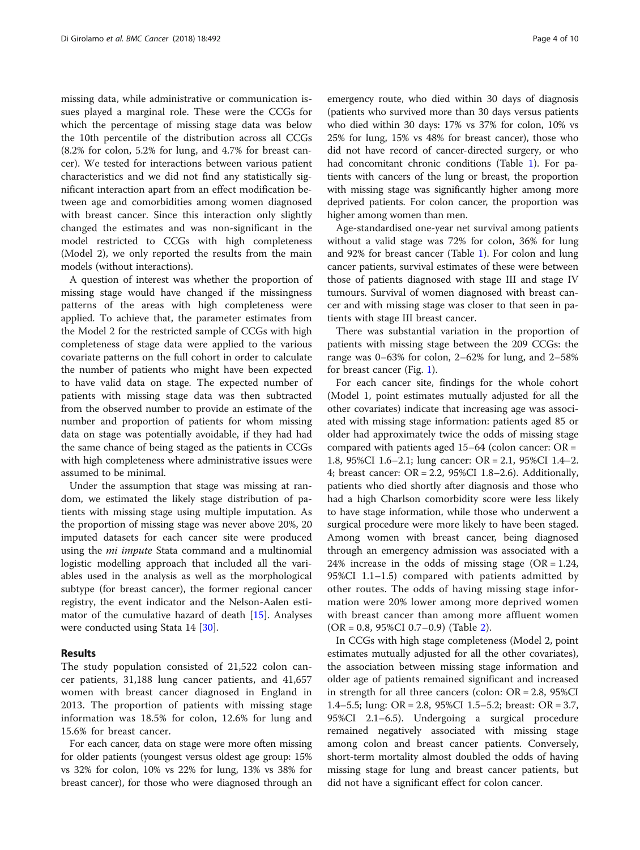missing data, while administrative or communication issues played a marginal role. These were the CCGs for which the percentage of missing stage data was below the 10th percentile of the distribution across all CCGs (8.2% for colon, 5.2% for lung, and 4.7% for breast cancer). We tested for interactions between various patient characteristics and we did not find any statistically significant interaction apart from an effect modification between age and comorbidities among women diagnosed with breast cancer. Since this interaction only slightly changed the estimates and was non-significant in the model restricted to CCGs with high completeness (Model 2), we only reported the results from the main models (without interactions).

A question of interest was whether the proportion of missing stage would have changed if the missingness patterns of the areas with high completeness were applied. To achieve that, the parameter estimates from the Model 2 for the restricted sample of CCGs with high completeness of stage data were applied to the various covariate patterns on the full cohort in order to calculate the number of patients who might have been expected to have valid data on stage. The expected number of patients with missing stage data was then subtracted from the observed number to provide an estimate of the number and proportion of patients for whom missing data on stage was potentially avoidable, if they had had the same chance of being staged as the patients in CCGs with high completeness where administrative issues were assumed to be minimal.

Under the assumption that stage was missing at random, we estimated the likely stage distribution of patients with missing stage using multiple imputation. As the proportion of missing stage was never above 20%, 20 imputed datasets for each cancer site were produced using the mi impute Stata command and a multinomial logistic modelling approach that included all the variables used in the analysis as well as the morphological subtype (for breast cancer), the former regional cancer registry, the event indicator and the Nelson-Aalen estimator of the cumulative hazard of death [[15\]](#page-9-0). Analyses were conducted using Stata 14 [\[30](#page-9-0)].

#### Results

The study population consisted of 21,522 colon cancer patients, 31,188 lung cancer patients, and 41,657 women with breast cancer diagnosed in England in 2013. The proportion of patients with missing stage information was 18.5% for colon, 12.6% for lung and 15.6% for breast cancer.

For each cancer, data on stage were more often missing for older patients (youngest versus oldest age group: 15% vs 32% for colon, 10% vs 22% for lung, 13% vs 38% for breast cancer), for those who were diagnosed through an emergency route, who died within 30 days of diagnosis (patients who survived more than 30 days versus patients who died within 30 days: 17% vs 37% for colon, 10% vs 25% for lung, 15% vs 48% for breast cancer), those who did not have record of cancer-directed surgery, or who had concomitant chronic conditions (Table [1\)](#page-4-0). For patients with cancers of the lung or breast, the proportion with missing stage was significantly higher among more deprived patients. For colon cancer, the proportion was higher among women than men.

Age-standardised one-year net survival among patients without a valid stage was 72% for colon, 36% for lung and 92% for breast cancer (Table [1](#page-4-0)). For colon and lung cancer patients, survival estimates of these were between those of patients diagnosed with stage III and stage IV tumours. Survival of women diagnosed with breast cancer and with missing stage was closer to that seen in patients with stage III breast cancer.

There was substantial variation in the proportion of patients with missing stage between the 209 CCGs: the range was 0–63% for colon, 2–62% for lung, and 2–58% for breast cancer (Fig. [1](#page-5-0)).

For each cancer site, findings for the whole cohort (Model 1, point estimates mutually adjusted for all the other covariates) indicate that increasing age was associated with missing stage information: patients aged 85 or older had approximately twice the odds of missing stage compared with patients aged  $15-64$  (colon cancer: OR = 1.8, 95%CI 1.6–2.1; lung cancer: OR = 2.1, 95%CI 1.4–2. 4; breast cancer: OR = 2.2, 95%CI 1.8–2.6). Additionally, patients who died shortly after diagnosis and those who had a high Charlson comorbidity score were less likely to have stage information, while those who underwent a surgical procedure were more likely to have been staged. Among women with breast cancer, being diagnosed through an emergency admission was associated with a 24% increase in the odds of missing stage ( $OR = 1.24$ , 95%CI 1.1–1.5) compared with patients admitted by other routes. The odds of having missing stage information were 20% lower among more deprived women with breast cancer than among more affluent women (OR = 0.8, 95%CI 0.7–0.9) (Table [2](#page-5-0)).

In CCGs with high stage completeness (Model 2, point estimates mutually adjusted for all the other covariates), the association between missing stage information and older age of patients remained significant and increased in strength for all three cancers (colon: OR = 2.8, 95%CI 1.4–5.5; lung: OR = 2.8, 95%CI 1.5–5.2; breast: OR = 3.7, 95%CI 2.1–6.5). Undergoing a surgical procedure remained negatively associated with missing stage among colon and breast cancer patients. Conversely, short-term mortality almost doubled the odds of having missing stage for lung and breast cancer patients, but did not have a significant effect for colon cancer.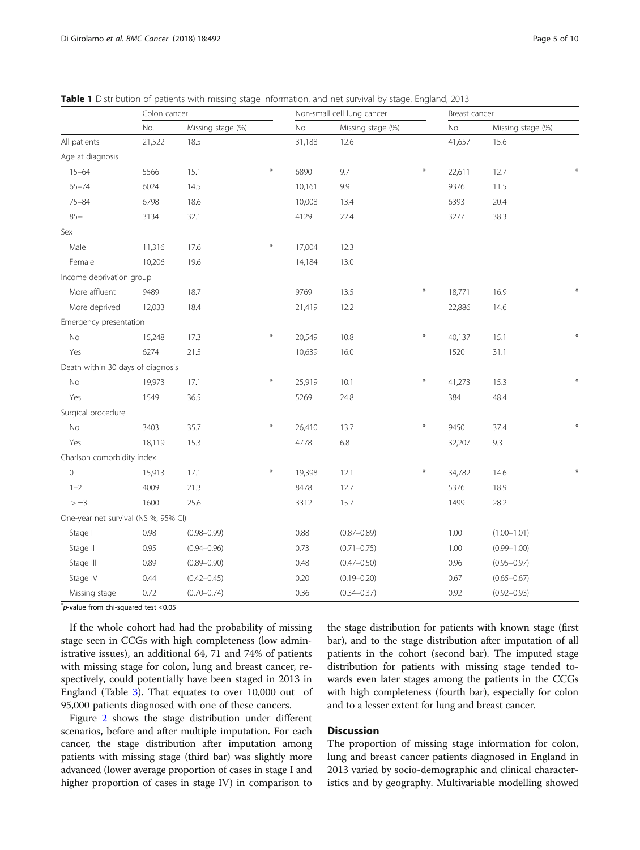| Colon cancer                         |                                            |                 |        | Non-small cell lung cancer |                   |        | Breast cancer |                   |        |  |
|--------------------------------------|--------------------------------------------|-----------------|--------|----------------------------|-------------------|--------|---------------|-------------------|--------|--|
|                                      | No.<br>Missing stage (%)<br>21,522<br>18.5 |                 |        | No.                        | Missing stage (%) |        | No.           | Missing stage (%) |        |  |
| All patients                         |                                            |                 |        | 31,188                     | 12.6              |        | 41,657        | 15.6              |        |  |
| Age at diagnosis                     |                                            |                 |        |                            |                   |        |               |                   |        |  |
| $15 - 64$                            | 5566                                       | 15.1            | $\ast$ | 6890                       | 9.7               | $\ast$ | 22,611        | 12.7              |        |  |
| $65 - 74$                            | 6024                                       | 14.5            |        | 10,161                     | 9.9               |        | 9376          | 11.5              |        |  |
| $75 - 84$                            | 6798                                       | 18.6            |        | 10,008                     | 13.4              |        | 6393          | 20.4              |        |  |
| $85+$                                | 3134                                       | 32.1            |        | 4129                       | 22.4              |        | 3277          | 38.3              |        |  |
| Sex                                  |                                            |                 |        |                            |                   |        |               |                   |        |  |
| Male                                 | 11,316                                     | 17.6            | $\ast$ | 17,004                     | 12.3              |        |               |                   |        |  |
| Female                               | 10,206                                     | 19.6            |        | 14,184                     | 13.0              |        |               |                   |        |  |
| Income deprivation group             |                                            |                 |        |                            |                   |        |               |                   |        |  |
| More affluent                        | 9489                                       | 18.7            |        | 9769                       | 13.5              | ⋇      | 18,771        | 16.9              |        |  |
| More deprived                        | 12,033                                     | 18.4            |        | 21,419                     | 12.2              |        | 22,886        | 14.6              |        |  |
| Emergency presentation               |                                            |                 |        |                            |                   |        |               |                   |        |  |
| No                                   | 15,248                                     | 17.3            | $\ast$ | 20,549                     | 10.8              | $\ast$ | 40,137        | 15.1              |        |  |
| Yes                                  | 6274                                       | 21.5            |        | 10,639                     | 16.0              |        | 1520          | 31.1              |        |  |
| Death within 30 days of diagnosis    |                                            |                 |        |                            |                   |        |               |                   |        |  |
| No                                   | 19,973                                     | 17.1            | $\ast$ | 25,919                     | 10.1              | $\ast$ | 41,273        | 15.3              | $\ast$ |  |
| Yes                                  | 1549                                       | 36.5            |        | 5269                       | 24.8              |        | 384           | 48.4              |        |  |
| Surgical procedure                   |                                            |                 |        |                            |                   |        |               |                   |        |  |
| No                                   | 3403                                       | 35.7            | $\ast$ | 26,410                     | 13.7              | ⋇      | 9450          | 37.4              |        |  |
| Yes                                  | 18,119                                     | 15.3            |        | 4778                       | 6.8               |        | 32,207        | 9.3               |        |  |
| Charlson comorbidity index           |                                            |                 |        |                            |                   |        |               |                   |        |  |
| $\mathbf 0$                          | 15,913                                     | 17.1            | $\ast$ | 19,398                     | 12.1              | ⋇      | 34,782        | 14.6              |        |  |
| $1 - 2$                              | 4009                                       | 21.3            |        | 8478                       | 12.7              |        | 5376          | 18.9              |        |  |
| $> = 3$                              | 1600                                       | 25.6            |        | 3312                       | 15.7              |        | 1499          | 28.2              |        |  |
| One-year net survival (NS %, 95% CI) |                                            |                 |        |                            |                   |        |               |                   |        |  |
| Stage I                              | 0.98                                       | $(0.98 - 0.99)$ |        | 0.88                       | $(0.87 - 0.89)$   |        | 1.00          | $(1.00 - 1.01)$   |        |  |
| Stage II                             | 0.95                                       | $(0.94 - 0.96)$ |        | 0.73                       | $(0.71 - 0.75)$   |        | 1.00          | $(0.99 - 1.00)$   |        |  |
| Stage III                            | 0.89                                       | $(0.89 - 0.90)$ |        | 0.48                       | $(0.47 - 0.50)$   |        | 0.96          | $(0.95 - 0.97)$   |        |  |
| Stage IV                             | 0.44                                       | $(0.42 - 0.45)$ |        | 0.20                       | $(0.19 - 0.20)$   |        | 0.67          | $(0.65 - 0.67)$   |        |  |
| Missing stage                        | 0.72                                       | $(0.70 - 0.74)$ |        | 0.36                       | $(0.34 - 0.37)$   |        | 0.92          | $(0.92 - 0.93)$   |        |  |

<span id="page-4-0"></span>Table 1 Distribution of patients with missing stage information, and net survival by stage, England, 2013

 $\check{}p$ -value from chi-squared test  $\leq$ 0.05

If the whole cohort had had the probability of missing stage seen in CCGs with high completeness (low administrative issues), an additional 64, 71 and 74% of patients with missing stage for colon, lung and breast cancer, respectively, could potentially have been staged in 2013 in England (Table [3](#page-6-0)). That equates to over 10,000 out of 95,000 patients diagnosed with one of these cancers.

Figure [2](#page-7-0) shows the stage distribution under different scenarios, before and after multiple imputation. For each cancer, the stage distribution after imputation among patients with missing stage (third bar) was slightly more advanced (lower average proportion of cases in stage I and higher proportion of cases in stage IV) in comparison to

the stage distribution for patients with known stage (first bar), and to the stage distribution after imputation of all patients in the cohort (second bar). The imputed stage distribution for patients with missing stage tended towards even later stages among the patients in the CCGs with high completeness (fourth bar), especially for colon and to a lesser extent for lung and breast cancer.

## **Discussion**

The proportion of missing stage information for colon, lung and breast cancer patients diagnosed in England in 2013 varied by socio-demographic and clinical characteristics and by geography. Multivariable modelling showed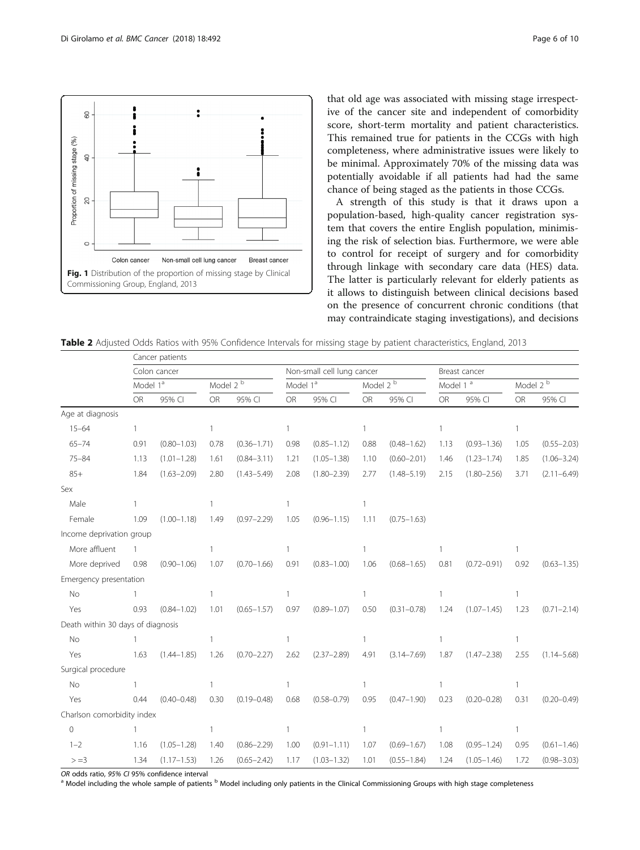<span id="page-5-0"></span>

that old age was associated with missing stage irrespective of the cancer site and independent of comorbidity score, short-term mortality and patient characteristics. This remained true for patients in the CCGs with high completeness, where administrative issues were likely to be minimal. Approximately 70% of the missing data was potentially avoidable if all patients had had the same chance of being staged as the patients in those CCGs.

A strength of this study is that it draws upon a population-based, high-quality cancer registration system that covers the entire English population, minimising the risk of selection bias. Furthermore, we were able to control for receipt of surgery and for comorbidity through linkage with secondary care data (HES) data. The latter is particularly relevant for elderly patients as it allows to distinguish between clinical decisions based on the presence of concurrent chronic conditions (that may contraindicate staging investigations), and decisions

Table 2 Adjusted Odds Ratios with 95% Confidence Intervals for missing stage by patient characteristics, England, 2013

|                                   | Cancer patients      |                 |                          |                 |                            |                 |            |                 |                      |                 |              |                 |
|-----------------------------------|----------------------|-----------------|--------------------------|-----------------|----------------------------|-----------------|------------|-----------------|----------------------|-----------------|--------------|-----------------|
|                                   | Colon cancer         |                 |                          |                 | Non-small cell lung cancer |                 |            |                 | Breast cancer        |                 |              |                 |
|                                   | Model 1 <sup>a</sup> |                 | Model $2^{\overline{b}}$ |                 | Model 1 <sup>a</sup>       |                 | Model $2b$ |                 | Model 1 <sup>a</sup> |                 | Model $2b$   |                 |
|                                   | <b>OR</b>            | 95% CI          | <b>OR</b>                | 95% CI          | <b>OR</b>                  | 95% CI          | OR         | 95% CI          | OR                   | 95% CI          | <b>OR</b>    | 95% CI          |
| Age at diagnosis                  |                      |                 |                          |                 |                            |                 |            |                 |                      |                 |              |                 |
| $15 - 64$                         |                      |                 | 1                        |                 |                            |                 |            |                 |                      |                 | 1            |                 |
| $65 - 74$                         | 0.91                 | $(0.80 - 1.03)$ | 0.78                     | $(0.36 - 1.71)$ | 0.98                       | $(0.85 - 1.12)$ | 0.88       | $(0.48 - 1.62)$ | 1.13                 | $(0.93 - 1.36)$ | 1.05         | $(0.55 - 2.03)$ |
| $75 - 84$                         | 1.13                 | $(1.01 - 1.28)$ | 1.61                     | $(0.84 - 3.11)$ | 1.21                       | $(1.05 - 1.38)$ | 1.10       | $(0.60 - 2.01)$ | 1.46                 | $(1.23 - 1.74)$ | 1.85         | $(1.06 - 3.24)$ |
| $85+$                             | 1.84                 | $(1.63 - 2.09)$ | 2.80                     | $(1.43 - 5.49)$ | 2.08                       | $(1.80 - 2.39)$ | 2.77       | $(1.48 - 5.19)$ | 2.15                 | $(1.80 - 2.56)$ | 3.71         | $(2.11 - 6.49)$ |
| Sex                               |                      |                 |                          |                 |                            |                 |            |                 |                      |                 |              |                 |
| Male                              |                      |                 |                          |                 |                            |                 |            |                 |                      |                 |              |                 |
| Female                            | 1.09                 | $(1.00 - 1.18)$ | 1.49                     | $(0.97 - 2.29)$ | 1.05                       | $(0.96 - 1.15)$ | 1.11       | $(0.75 - 1.63)$ |                      |                 |              |                 |
| Income deprivation group          |                      |                 |                          |                 |                            |                 |            |                 |                      |                 |              |                 |
| More affluent                     |                      |                 |                          |                 |                            |                 |            |                 |                      |                 | 1            |                 |
| More deprived                     | 0.98                 | $(0.90 - 1.06)$ | 1.07                     | $(0.70 - 1.66)$ | 0.91                       | $(0.83 - 1.00)$ | 1.06       | $(0.68 - 1.65)$ | 0.81                 | $(0.72 - 0.91)$ | 0.92         | $(0.63 - 1.35)$ |
| Emergency presentation            |                      |                 |                          |                 |                            |                 |            |                 |                      |                 |              |                 |
| No                                |                      |                 | 1                        |                 |                            |                 |            |                 |                      |                 | $\mathbf{1}$ |                 |
| Yes                               | 0.93                 | $(0.84 - 1.02)$ | 1.01                     | $(0.65 - 1.57)$ | 0.97                       | $(0.89 - 1.07)$ | 0.50       | $(0.31 - 0.78)$ | 1.24                 | $(1.07 - 1.45)$ | 1.23         | $(0.71 - 2.14)$ |
| Death within 30 days of diagnosis |                      |                 |                          |                 |                            |                 |            |                 |                      |                 |              |                 |
| No                                |                      |                 | 1                        |                 |                            |                 | 1          |                 |                      |                 | $\mathbf{1}$ |                 |
| Yes                               | 1.63                 | $(1.44 - 1.85)$ | 1.26                     | $(0.70 - 2.27)$ | 2.62                       | $(2.37 - 2.89)$ | 4.91       | $(3.14 - 7.69)$ | 1.87                 | $(1.47 - 2.38)$ | 2.55         | $(1.14 - 5.68)$ |
| Surgical procedure                |                      |                 |                          |                 |                            |                 |            |                 |                      |                 |              |                 |
| No                                |                      |                 | $\mathbf{1}$             |                 |                            |                 | 1          |                 |                      |                 | $\mathbf{1}$ |                 |
| Yes                               | 0.44                 | $(0.40 - 0.48)$ | 0.30                     | $(0.19 - 0.48)$ | 0.68                       | $(0.58 - 0.79)$ | 0.95       | $(0.47 - 1.90)$ | 0.23                 | $(0.20 - 0.28)$ | 0.31         | $(0.20 - 0.49)$ |
| Charlson comorbidity index        |                      |                 |                          |                 |                            |                 |            |                 |                      |                 |              |                 |
| $\circ$                           |                      |                 | 1                        |                 |                            |                 | 1          |                 |                      |                 | $\mathbf{1}$ |                 |
| $1 - 2$                           | 1.16                 | $(1.05 - 1.28)$ | 1.40                     | $(0.86 - 2.29)$ | 1.00                       | $(0.91 - 1.11)$ | 1.07       | $(0.69 - 1.67)$ | 1.08                 | $(0.95 - 1.24)$ | 0.95         | $(0.61 - 1.46)$ |
| $> = 3$                           | 1.34                 | $(1.17 - 1.53)$ | 1.26                     | $(0.65 - 2.42)$ | 1.17                       | $(1.03 - 1.32)$ | 1.01       | $(0.55 - 1.84)$ | 1.24                 | $(1.05 - 1.46)$ | 1.72         | $(0.98 - 3.03)$ |

OR odds ratio, 95% CI 95% confidence interval<br><sup>a</sup> Model including the whole sample of patients <sup>b</sup> Model including only patients in the Clinical Commissioning Groups with high stage completeness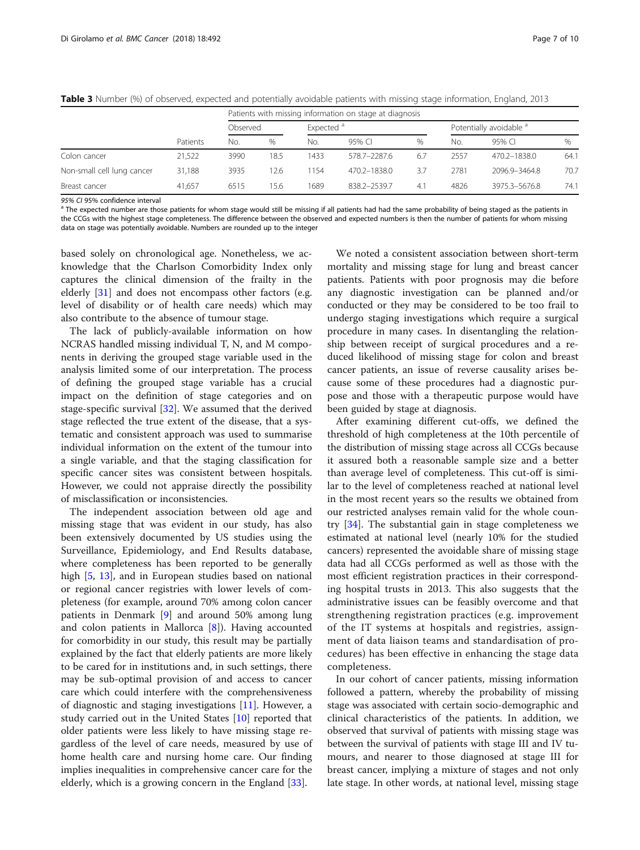|                            |          | Patients with missing information on stage at diagnosis |      |                       |              |     |                                    |               |      |  |  |
|----------------------------|----------|---------------------------------------------------------|------|-----------------------|--------------|-----|------------------------------------|---------------|------|--|--|
|                            | Patients | Observed                                                |      | Expected <sup>a</sup> |              |     | Potentially avoidable <sup>a</sup> |               |      |  |  |
|                            |          | No.                                                     | %    | No.                   | 95% CL       | %   | No.                                | 95% CI        | $\%$ |  |  |
| Colon cancer               | 21,522   | 3990                                                    | 18.5 | 1433                  | 578.7-2287.6 | 6.7 | 2557                               | 470.2-1838.0  | 64.1 |  |  |
| Non-small cell lung cancer | 31.188   | 3935                                                    | 12.6 | 154                   | 470.2-1838.0 | 3.7 | 2781                               | 2096.9-3464.8 | 70.7 |  |  |
| Breast cancer              | 41.657   | 6515                                                    | 15.6 | 1689                  | 838.2-2539.7 | 4.1 | 4826                               | 3975.3-5676.8 | 74.1 |  |  |

<span id="page-6-0"></span>Table 3 Number (%) of observed, expected and potentially avoidable patients with missing stage information, England, 2013

95% CI 95% confidence interval<br><sup>a</sup> The expected number are those patients for whom stage would still be missing if all patients had had the same probability of being staged as the patients in the CCGs with the highest stage completeness. The difference between the observed and expected numbers is then the number of patients for whom missing data on stage was potentially avoidable. Numbers are rounded up to the integer

based solely on chronological age. Nonetheless, we acknowledge that the Charlson Comorbidity Index only captures the clinical dimension of the frailty in the elderly [\[31\]](#page-9-0) and does not encompass other factors (e.g. level of disability or of health care needs) which may also contribute to the absence of tumour stage.

The lack of publicly-available information on how NCRAS handled missing individual T, N, and M components in deriving the grouped stage variable used in the analysis limited some of our interpretation. The process of defining the grouped stage variable has a crucial impact on the definition of stage categories and on stage-specific survival [[32\]](#page-9-0). We assumed that the derived stage reflected the true extent of the disease, that a systematic and consistent approach was used to summarise individual information on the extent of the tumour into a single variable, and that the staging classification for specific cancer sites was consistent between hospitals. However, we could not appraise directly the possibility of misclassification or inconsistencies.

The independent association between old age and missing stage that was evident in our study, has also been extensively documented by US studies using the Surveillance, Epidemiology, and End Results database, where completeness has been reported to be generally high [[5](#page-9-0), [13](#page-9-0)], and in European studies based on national or regional cancer registries with lower levels of completeness (for example, around 70% among colon cancer patients in Denmark [\[9](#page-9-0)] and around 50% among lung and colon patients in Mallorca [[8\]](#page-9-0)). Having accounted for comorbidity in our study, this result may be partially explained by the fact that elderly patients are more likely to be cared for in institutions and, in such settings, there may be sub-optimal provision of and access to cancer care which could interfere with the comprehensiveness of diagnostic and staging investigations [[11\]](#page-9-0). However, a study carried out in the United States [[10\]](#page-9-0) reported that older patients were less likely to have missing stage regardless of the level of care needs, measured by use of home health care and nursing home care. Our finding implies inequalities in comprehensive cancer care for the elderly, which is a growing concern in the England [[33\]](#page-9-0).

We noted a consistent association between short-term mortality and missing stage for lung and breast cancer patients. Patients with poor prognosis may die before any diagnostic investigation can be planned and/or conducted or they may be considered to be too frail to undergo staging investigations which require a surgical procedure in many cases. In disentangling the relationship between receipt of surgical procedures and a reduced likelihood of missing stage for colon and breast cancer patients, an issue of reverse causality arises because some of these procedures had a diagnostic purpose and those with a therapeutic purpose would have been guided by stage at diagnosis.

After examining different cut-offs, we defined the threshold of high completeness at the 10th percentile of the distribution of missing stage across all CCGs because it assured both a reasonable sample size and a better than average level of completeness. This cut-off is similar to the level of completeness reached at national level in the most recent years so the results we obtained from our restricted analyses remain valid for the whole country [\[34](#page-9-0)]. The substantial gain in stage completeness we estimated at national level (nearly 10% for the studied cancers) represented the avoidable share of missing stage data had all CCGs performed as well as those with the most efficient registration practices in their corresponding hospital trusts in 2013. This also suggests that the administrative issues can be feasibly overcome and that strengthening registration practices (e.g. improvement of the IT systems at hospitals and registries, assignment of data liaison teams and standardisation of procedures) has been effective in enhancing the stage data completeness.

In our cohort of cancer patients, missing information followed a pattern, whereby the probability of missing stage was associated with certain socio-demographic and clinical characteristics of the patients. In addition, we observed that survival of patients with missing stage was between the survival of patients with stage III and IV tumours, and nearer to those diagnosed at stage III for breast cancer, implying a mixture of stages and not only late stage. In other words, at national level, missing stage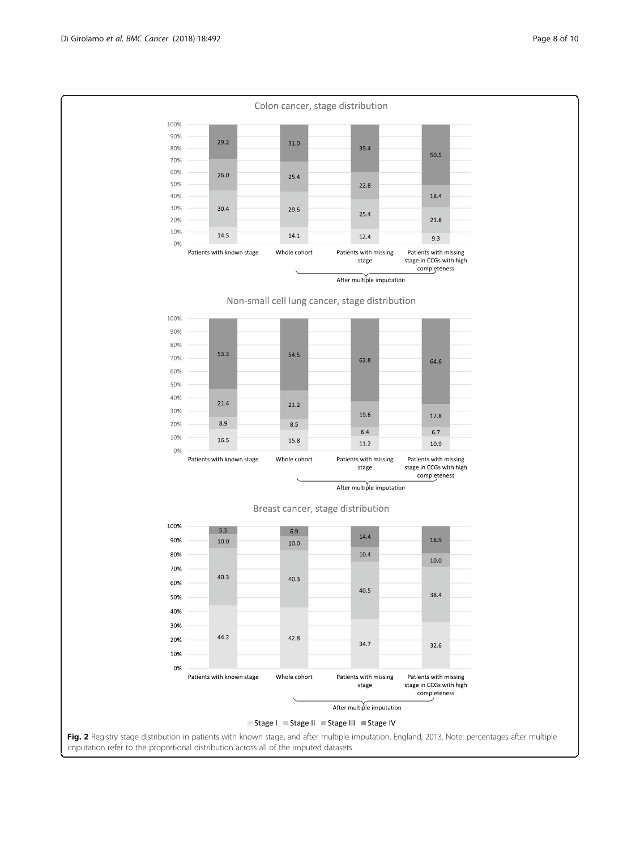<span id="page-7-0"></span>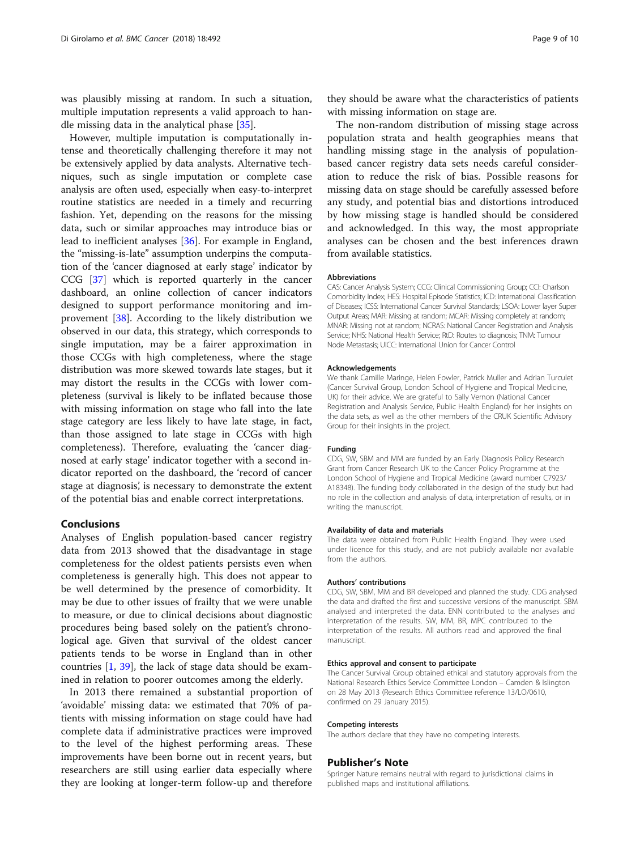was plausibly missing at random. In such a situation, multiple imputation represents a valid approach to handle missing data in the analytical phase [\[35\]](#page-9-0).

However, multiple imputation is computationally intense and theoretically challenging therefore it may not be extensively applied by data analysts. Alternative techniques, such as single imputation or complete case analysis are often used, especially when easy-to-interpret routine statistics are needed in a timely and recurring fashion. Yet, depending on the reasons for the missing data, such or similar approaches may introduce bias or lead to inefficient analyses [\[36](#page-9-0)]. For example in England, the "missing-is-late" assumption underpins the computation of the 'cancer diagnosed at early stage' indicator by CCG [\[37](#page-9-0)] which is reported quarterly in the cancer dashboard, an online collection of cancer indicators designed to support performance monitoring and improvement [[38\]](#page-9-0). According to the likely distribution we observed in our data, this strategy, which corresponds to single imputation, may be a fairer approximation in those CCGs with high completeness, where the stage distribution was more skewed towards late stages, but it may distort the results in the CCGs with lower completeness (survival is likely to be inflated because those with missing information on stage who fall into the late stage category are less likely to have late stage, in fact, than those assigned to late stage in CCGs with high completeness). Therefore, evaluating the 'cancer diagnosed at early stage' indicator together with a second indicator reported on the dashboard, the 'record of cancer stage at diagnosis', is necessary to demonstrate the extent of the potential bias and enable correct interpretations.

## Conclusions

Analyses of English population-based cancer registry data from 2013 showed that the disadvantage in stage completeness for the oldest patients persists even when completeness is generally high. This does not appear to be well determined by the presence of comorbidity. It may be due to other issues of frailty that we were unable to measure, or due to clinical decisions about diagnostic procedures being based solely on the patient's chronological age. Given that survival of the oldest cancer patients tends to be worse in England than in other countries [\[1,](#page-9-0) [39](#page-9-0)], the lack of stage data should be examined in relation to poorer outcomes among the elderly.

In 2013 there remained a substantial proportion of 'avoidable' missing data: we estimated that 70% of patients with missing information on stage could have had complete data if administrative practices were improved to the level of the highest performing areas. These improvements have been borne out in recent years, but researchers are still using earlier data especially where they are looking at longer-term follow-up and therefore

they should be aware what the characteristics of patients with missing information on stage are.

The non-random distribution of missing stage across population strata and health geographies means that handling missing stage in the analysis of populationbased cancer registry data sets needs careful consideration to reduce the risk of bias. Possible reasons for missing data on stage should be carefully assessed before any study, and potential bias and distortions introduced by how missing stage is handled should be considered and acknowledged. In this way, the most appropriate analyses can be chosen and the best inferences drawn from available statistics.

#### Abbreviations

CAS: Cancer Analysis System; CCG: Clinical Commissioning Group; CCI: Charlson Comorbidity Index; HES: Hospital Episode Statistics; ICD: International Classification of Diseases; ICSS: International Cancer Survival Standards; LSOA: Lower layer Super Output Areas; MAR: Missing at random; MCAR: Missing completely at random; MNAR: Missing not at random; NCRAS: National Cancer Registration and Analysis Service; NHS: National Health Service; RtD: Routes to diagnosis; TNM: Tumour Node Metastasis; UICC: International Union for Cancer Control

#### Acknowledgements

We thank Camille Maringe, Helen Fowler, Patrick Muller and Adrian Turculet (Cancer Survival Group, London School of Hygiene and Tropical Medicine, UK) for their advice. We are grateful to Sally Vernon (National Cancer Registration and Analysis Service, Public Health England) for her insights on the data sets, as well as the other members of the CRUK Scientific Advisory Group for their insights in the project.

## Funding

CDG, SW, SBM and MM are funded by an Early Diagnosis Policy Research Grant from Cancer Research UK to the Cancer Policy Programme at the London School of Hygiene and Tropical Medicine (award number C7923/ A18348). The funding body collaborated in the design of the study but had no role in the collection and analysis of data, interpretation of results, or in writing the manuscript.

#### Availability of data and materials

The data were obtained from Public Health England. They were used under licence for this study, and are not publicly available nor available from the authors.

#### Authors' contributions

CDG, SW, SBM, MM and BR developed and planned the study. CDG analysed the data and drafted the first and successive versions of the manuscript. SBM analysed and interpreted the data. ENN contributed to the analyses and interpretation of the results. SW, MM, BR, MPC contributed to the interpretation of the results. All authors read and approved the final manuscript.

### Ethics approval and consent to participate

The Cancer Survival Group obtained ethical and statutory approvals from the National Research Ethics Service Committee London – Camden & Islington on 28 May 2013 (Research Ethics Committee reference 13/LO/0610, confirmed on 29 January 2015).

#### Competing interests

The authors declare that they have no competing interests.

#### Publisher's Note

Springer Nature remains neutral with regard to jurisdictional claims in published maps and institutional affiliations.